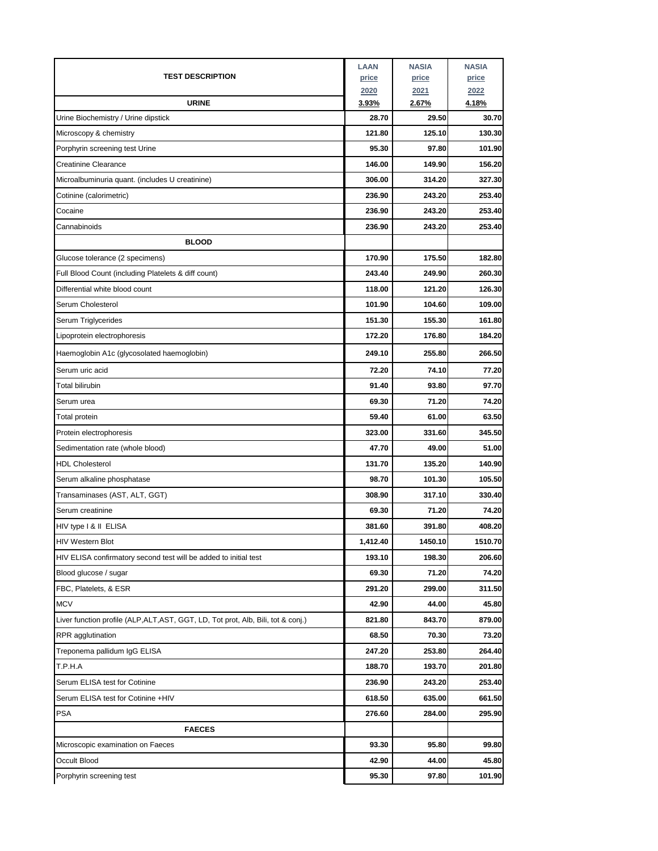| <b>URINE</b><br>2.67%<br>4.18%<br><u>3.93%</u><br>Urine Biochemistry / Urine dipstick<br>29.50<br>30.70<br>28.70<br>Microscopy & chemistry<br>121.80<br>125.10<br>130.30<br>95.30<br>Porphyrin screening test Urine<br>97.80<br>101.90<br><b>Creatinine Clearance</b><br>146.00<br>149.90<br>156.20<br>Microalbuminuria quant. (includes U creatinine)<br>306.00<br>314.20<br>327.30<br>Cotinine (calorimetric)<br>236.90<br>253.40<br>243.20<br>236.90<br>243.20<br>Cocaine<br>253.40<br>Cannabinoids<br>236.90<br>243.20<br>253.40<br><b>BLOOD</b><br>175.50<br>182.80<br>Glucose tolerance (2 specimens)<br>170.90<br>Full Blood Count (including Platelets & diff count)<br>243.40<br>249.90<br>260.30<br>Differential white blood count<br>118.00<br>121.20<br>126.30<br>Serum Cholesterol<br>109.00<br>101.90<br>104.60<br>151.30<br>155.30<br>161.80<br>Serum Triglycerides<br>176.80<br>184.20<br>Lipoprotein electrophoresis<br>172.20<br>249.10<br>255.80<br>266.50<br>Haemoglobin A1c (glycosolated haemoglobin)<br>Serum uric acid<br>72.20<br>74.10<br>77.20<br>Total bilirubin<br>91.40<br>93.80<br>97.70<br>71.20<br>Serum urea<br>69.30<br>74.20<br>59.40<br>61.00<br>63.50<br>Total protein<br>331.60<br>345.50<br>Protein electrophoresis<br>323.00<br>49.00<br>51.00<br>Sedimentation rate (whole blood)<br>47.70<br>131.70<br>135.20<br>140.90<br><b>HDL Cholesterol</b><br>Serum alkaline phosphatase<br>98.70<br>101.30<br>105.50<br>308.90<br>317.10<br>330.40<br>Transaminases (AST, ALT, GGT)<br>69.30<br>71.20<br>74.20<br>Serum creatinine<br>391.80<br>408.20<br>HIV type I & II ELISA<br>381.60<br><b>HIV Western Blot</b><br>1,412.40<br>1450.10<br>1510.70<br>206.60<br>HIV ELISA confirmatory second test will be added to initial test<br>193.10<br>198.30<br>Blood glucose / sugar<br>69.30<br>71.20<br>74.20<br>FBC, Platelets, & ESR<br>291.20<br>299.00<br>311.50<br><b>MCV</b><br>42.90<br>44.00<br>45.80<br>Liver function profile (ALP,ALT,AST, GGT, LD, Tot prot, Alb, Bili, tot & conj.)<br>821.80<br>843.70<br>879.00<br>RPR agglutination<br>68.50<br>70.30<br>73.20<br>Treponema pallidum IgG ELISA<br>253.80<br>264.40<br>247.20<br>T.P.H.A<br>188.70<br>193.70<br>201.80<br>Serum ELISA test for Cotinine<br>236.90<br>243.20<br>253.40<br>Serum ELISA test for Cotinine +HIV<br>618.50<br>635.00<br>661.50<br><b>PSA</b><br>276.60<br>284.00<br>295.90<br><b>FAECES</b><br>95.80<br>99.80<br>Microscopic examination on Faeces<br>93.30<br>42.90<br>45.80<br>Occult Blood<br>44.00<br>95.30<br>Porphyrin screening test<br>97.80<br>101.90 | <b>TEST DESCRIPTION</b> | <b>LAAN</b><br>price<br>2020 | <b>NASIA</b><br>price<br>2021 | <b>NASIA</b><br>price<br>2022 |
|--------------------------------------------------------------------------------------------------------------------------------------------------------------------------------------------------------------------------------------------------------------------------------------------------------------------------------------------------------------------------------------------------------------------------------------------------------------------------------------------------------------------------------------------------------------------------------------------------------------------------------------------------------------------------------------------------------------------------------------------------------------------------------------------------------------------------------------------------------------------------------------------------------------------------------------------------------------------------------------------------------------------------------------------------------------------------------------------------------------------------------------------------------------------------------------------------------------------------------------------------------------------------------------------------------------------------------------------------------------------------------------------------------------------------------------------------------------------------------------------------------------------------------------------------------------------------------------------------------------------------------------------------------------------------------------------------------------------------------------------------------------------------------------------------------------------------------------------------------------------------------------------------------------------------------------------------------------------------------------------------------------------------------------------------------------------------------------------------------------------------------------------------------------------------------------------------------------------------------------------------------------------------------------------------------------------------------------------------------------------------------------------------------------------------------------------------------------------------------------------------------------------------------------------------------------------------------------------|-------------------------|------------------------------|-------------------------------|-------------------------------|
|                                                                                                                                                                                                                                                                                                                                                                                                                                                                                                                                                                                                                                                                                                                                                                                                                                                                                                                                                                                                                                                                                                                                                                                                                                                                                                                                                                                                                                                                                                                                                                                                                                                                                                                                                                                                                                                                                                                                                                                                                                                                                                                                                                                                                                                                                                                                                                                                                                                                                                                                                                                            |                         |                              |                               |                               |
|                                                                                                                                                                                                                                                                                                                                                                                                                                                                                                                                                                                                                                                                                                                                                                                                                                                                                                                                                                                                                                                                                                                                                                                                                                                                                                                                                                                                                                                                                                                                                                                                                                                                                                                                                                                                                                                                                                                                                                                                                                                                                                                                                                                                                                                                                                                                                                                                                                                                                                                                                                                            |                         |                              |                               |                               |
|                                                                                                                                                                                                                                                                                                                                                                                                                                                                                                                                                                                                                                                                                                                                                                                                                                                                                                                                                                                                                                                                                                                                                                                                                                                                                                                                                                                                                                                                                                                                                                                                                                                                                                                                                                                                                                                                                                                                                                                                                                                                                                                                                                                                                                                                                                                                                                                                                                                                                                                                                                                            |                         |                              |                               |                               |
|                                                                                                                                                                                                                                                                                                                                                                                                                                                                                                                                                                                                                                                                                                                                                                                                                                                                                                                                                                                                                                                                                                                                                                                                                                                                                                                                                                                                                                                                                                                                                                                                                                                                                                                                                                                                                                                                                                                                                                                                                                                                                                                                                                                                                                                                                                                                                                                                                                                                                                                                                                                            |                         |                              |                               |                               |
|                                                                                                                                                                                                                                                                                                                                                                                                                                                                                                                                                                                                                                                                                                                                                                                                                                                                                                                                                                                                                                                                                                                                                                                                                                                                                                                                                                                                                                                                                                                                                                                                                                                                                                                                                                                                                                                                                                                                                                                                                                                                                                                                                                                                                                                                                                                                                                                                                                                                                                                                                                                            |                         |                              |                               |                               |
|                                                                                                                                                                                                                                                                                                                                                                                                                                                                                                                                                                                                                                                                                                                                                                                                                                                                                                                                                                                                                                                                                                                                                                                                                                                                                                                                                                                                                                                                                                                                                                                                                                                                                                                                                                                                                                                                                                                                                                                                                                                                                                                                                                                                                                                                                                                                                                                                                                                                                                                                                                                            |                         |                              |                               |                               |
|                                                                                                                                                                                                                                                                                                                                                                                                                                                                                                                                                                                                                                                                                                                                                                                                                                                                                                                                                                                                                                                                                                                                                                                                                                                                                                                                                                                                                                                                                                                                                                                                                                                                                                                                                                                                                                                                                                                                                                                                                                                                                                                                                                                                                                                                                                                                                                                                                                                                                                                                                                                            |                         |                              |                               |                               |
|                                                                                                                                                                                                                                                                                                                                                                                                                                                                                                                                                                                                                                                                                                                                                                                                                                                                                                                                                                                                                                                                                                                                                                                                                                                                                                                                                                                                                                                                                                                                                                                                                                                                                                                                                                                                                                                                                                                                                                                                                                                                                                                                                                                                                                                                                                                                                                                                                                                                                                                                                                                            |                         |                              |                               |                               |
|                                                                                                                                                                                                                                                                                                                                                                                                                                                                                                                                                                                                                                                                                                                                                                                                                                                                                                                                                                                                                                                                                                                                                                                                                                                                                                                                                                                                                                                                                                                                                                                                                                                                                                                                                                                                                                                                                                                                                                                                                                                                                                                                                                                                                                                                                                                                                                                                                                                                                                                                                                                            |                         |                              |                               |                               |
|                                                                                                                                                                                                                                                                                                                                                                                                                                                                                                                                                                                                                                                                                                                                                                                                                                                                                                                                                                                                                                                                                                                                                                                                                                                                                                                                                                                                                                                                                                                                                                                                                                                                                                                                                                                                                                                                                                                                                                                                                                                                                                                                                                                                                                                                                                                                                                                                                                                                                                                                                                                            |                         |                              |                               |                               |
|                                                                                                                                                                                                                                                                                                                                                                                                                                                                                                                                                                                                                                                                                                                                                                                                                                                                                                                                                                                                                                                                                                                                                                                                                                                                                                                                                                                                                                                                                                                                                                                                                                                                                                                                                                                                                                                                                                                                                                                                                                                                                                                                                                                                                                                                                                                                                                                                                                                                                                                                                                                            |                         |                              |                               |                               |
|                                                                                                                                                                                                                                                                                                                                                                                                                                                                                                                                                                                                                                                                                                                                                                                                                                                                                                                                                                                                                                                                                                                                                                                                                                                                                                                                                                                                                                                                                                                                                                                                                                                                                                                                                                                                                                                                                                                                                                                                                                                                                                                                                                                                                                                                                                                                                                                                                                                                                                                                                                                            |                         |                              |                               |                               |
|                                                                                                                                                                                                                                                                                                                                                                                                                                                                                                                                                                                                                                                                                                                                                                                                                                                                                                                                                                                                                                                                                                                                                                                                                                                                                                                                                                                                                                                                                                                                                                                                                                                                                                                                                                                                                                                                                                                                                                                                                                                                                                                                                                                                                                                                                                                                                                                                                                                                                                                                                                                            |                         |                              |                               |                               |
|                                                                                                                                                                                                                                                                                                                                                                                                                                                                                                                                                                                                                                                                                                                                                                                                                                                                                                                                                                                                                                                                                                                                                                                                                                                                                                                                                                                                                                                                                                                                                                                                                                                                                                                                                                                                                                                                                                                                                                                                                                                                                                                                                                                                                                                                                                                                                                                                                                                                                                                                                                                            |                         |                              |                               |                               |
|                                                                                                                                                                                                                                                                                                                                                                                                                                                                                                                                                                                                                                                                                                                                                                                                                                                                                                                                                                                                                                                                                                                                                                                                                                                                                                                                                                                                                                                                                                                                                                                                                                                                                                                                                                                                                                                                                                                                                                                                                                                                                                                                                                                                                                                                                                                                                                                                                                                                                                                                                                                            |                         |                              |                               |                               |
|                                                                                                                                                                                                                                                                                                                                                                                                                                                                                                                                                                                                                                                                                                                                                                                                                                                                                                                                                                                                                                                                                                                                                                                                                                                                                                                                                                                                                                                                                                                                                                                                                                                                                                                                                                                                                                                                                                                                                                                                                                                                                                                                                                                                                                                                                                                                                                                                                                                                                                                                                                                            |                         |                              |                               |                               |
|                                                                                                                                                                                                                                                                                                                                                                                                                                                                                                                                                                                                                                                                                                                                                                                                                                                                                                                                                                                                                                                                                                                                                                                                                                                                                                                                                                                                                                                                                                                                                                                                                                                                                                                                                                                                                                                                                                                                                                                                                                                                                                                                                                                                                                                                                                                                                                                                                                                                                                                                                                                            |                         |                              |                               |                               |
|                                                                                                                                                                                                                                                                                                                                                                                                                                                                                                                                                                                                                                                                                                                                                                                                                                                                                                                                                                                                                                                                                                                                                                                                                                                                                                                                                                                                                                                                                                                                                                                                                                                                                                                                                                                                                                                                                                                                                                                                                                                                                                                                                                                                                                                                                                                                                                                                                                                                                                                                                                                            |                         |                              |                               |                               |
|                                                                                                                                                                                                                                                                                                                                                                                                                                                                                                                                                                                                                                                                                                                                                                                                                                                                                                                                                                                                                                                                                                                                                                                                                                                                                                                                                                                                                                                                                                                                                                                                                                                                                                                                                                                                                                                                                                                                                                                                                                                                                                                                                                                                                                                                                                                                                                                                                                                                                                                                                                                            |                         |                              |                               |                               |
|                                                                                                                                                                                                                                                                                                                                                                                                                                                                                                                                                                                                                                                                                                                                                                                                                                                                                                                                                                                                                                                                                                                                                                                                                                                                                                                                                                                                                                                                                                                                                                                                                                                                                                                                                                                                                                                                                                                                                                                                                                                                                                                                                                                                                                                                                                                                                                                                                                                                                                                                                                                            |                         |                              |                               |                               |
|                                                                                                                                                                                                                                                                                                                                                                                                                                                                                                                                                                                                                                                                                                                                                                                                                                                                                                                                                                                                                                                                                                                                                                                                                                                                                                                                                                                                                                                                                                                                                                                                                                                                                                                                                                                                                                                                                                                                                                                                                                                                                                                                                                                                                                                                                                                                                                                                                                                                                                                                                                                            |                         |                              |                               |                               |
|                                                                                                                                                                                                                                                                                                                                                                                                                                                                                                                                                                                                                                                                                                                                                                                                                                                                                                                                                                                                                                                                                                                                                                                                                                                                                                                                                                                                                                                                                                                                                                                                                                                                                                                                                                                                                                                                                                                                                                                                                                                                                                                                                                                                                                                                                                                                                                                                                                                                                                                                                                                            |                         |                              |                               |                               |
|                                                                                                                                                                                                                                                                                                                                                                                                                                                                                                                                                                                                                                                                                                                                                                                                                                                                                                                                                                                                                                                                                                                                                                                                                                                                                                                                                                                                                                                                                                                                                                                                                                                                                                                                                                                                                                                                                                                                                                                                                                                                                                                                                                                                                                                                                                                                                                                                                                                                                                                                                                                            |                         |                              |                               |                               |
|                                                                                                                                                                                                                                                                                                                                                                                                                                                                                                                                                                                                                                                                                                                                                                                                                                                                                                                                                                                                                                                                                                                                                                                                                                                                                                                                                                                                                                                                                                                                                                                                                                                                                                                                                                                                                                                                                                                                                                                                                                                                                                                                                                                                                                                                                                                                                                                                                                                                                                                                                                                            |                         |                              |                               |                               |
|                                                                                                                                                                                                                                                                                                                                                                                                                                                                                                                                                                                                                                                                                                                                                                                                                                                                                                                                                                                                                                                                                                                                                                                                                                                                                                                                                                                                                                                                                                                                                                                                                                                                                                                                                                                                                                                                                                                                                                                                                                                                                                                                                                                                                                                                                                                                                                                                                                                                                                                                                                                            |                         |                              |                               |                               |
|                                                                                                                                                                                                                                                                                                                                                                                                                                                                                                                                                                                                                                                                                                                                                                                                                                                                                                                                                                                                                                                                                                                                                                                                                                                                                                                                                                                                                                                                                                                                                                                                                                                                                                                                                                                                                                                                                                                                                                                                                                                                                                                                                                                                                                                                                                                                                                                                                                                                                                                                                                                            |                         |                              |                               |                               |
|                                                                                                                                                                                                                                                                                                                                                                                                                                                                                                                                                                                                                                                                                                                                                                                                                                                                                                                                                                                                                                                                                                                                                                                                                                                                                                                                                                                                                                                                                                                                                                                                                                                                                                                                                                                                                                                                                                                                                                                                                                                                                                                                                                                                                                                                                                                                                                                                                                                                                                                                                                                            |                         |                              |                               |                               |
|                                                                                                                                                                                                                                                                                                                                                                                                                                                                                                                                                                                                                                                                                                                                                                                                                                                                                                                                                                                                                                                                                                                                                                                                                                                                                                                                                                                                                                                                                                                                                                                                                                                                                                                                                                                                                                                                                                                                                                                                                                                                                                                                                                                                                                                                                                                                                                                                                                                                                                                                                                                            |                         |                              |                               |                               |
|                                                                                                                                                                                                                                                                                                                                                                                                                                                                                                                                                                                                                                                                                                                                                                                                                                                                                                                                                                                                                                                                                                                                                                                                                                                                                                                                                                                                                                                                                                                                                                                                                                                                                                                                                                                                                                                                                                                                                                                                                                                                                                                                                                                                                                                                                                                                                                                                                                                                                                                                                                                            |                         |                              |                               |                               |
|                                                                                                                                                                                                                                                                                                                                                                                                                                                                                                                                                                                                                                                                                                                                                                                                                                                                                                                                                                                                                                                                                                                                                                                                                                                                                                                                                                                                                                                                                                                                                                                                                                                                                                                                                                                                                                                                                                                                                                                                                                                                                                                                                                                                                                                                                                                                                                                                                                                                                                                                                                                            |                         |                              |                               |                               |
|                                                                                                                                                                                                                                                                                                                                                                                                                                                                                                                                                                                                                                                                                                                                                                                                                                                                                                                                                                                                                                                                                                                                                                                                                                                                                                                                                                                                                                                                                                                                                                                                                                                                                                                                                                                                                                                                                                                                                                                                                                                                                                                                                                                                                                                                                                                                                                                                                                                                                                                                                                                            |                         |                              |                               |                               |
|                                                                                                                                                                                                                                                                                                                                                                                                                                                                                                                                                                                                                                                                                                                                                                                                                                                                                                                                                                                                                                                                                                                                                                                                                                                                                                                                                                                                                                                                                                                                                                                                                                                                                                                                                                                                                                                                                                                                                                                                                                                                                                                                                                                                                                                                                                                                                                                                                                                                                                                                                                                            |                         |                              |                               |                               |
|                                                                                                                                                                                                                                                                                                                                                                                                                                                                                                                                                                                                                                                                                                                                                                                                                                                                                                                                                                                                                                                                                                                                                                                                                                                                                                                                                                                                                                                                                                                                                                                                                                                                                                                                                                                                                                                                                                                                                                                                                                                                                                                                                                                                                                                                                                                                                                                                                                                                                                                                                                                            |                         |                              |                               |                               |
|                                                                                                                                                                                                                                                                                                                                                                                                                                                                                                                                                                                                                                                                                                                                                                                                                                                                                                                                                                                                                                                                                                                                                                                                                                                                                                                                                                                                                                                                                                                                                                                                                                                                                                                                                                                                                                                                                                                                                                                                                                                                                                                                                                                                                                                                                                                                                                                                                                                                                                                                                                                            |                         |                              |                               |                               |
|                                                                                                                                                                                                                                                                                                                                                                                                                                                                                                                                                                                                                                                                                                                                                                                                                                                                                                                                                                                                                                                                                                                                                                                                                                                                                                                                                                                                                                                                                                                                                                                                                                                                                                                                                                                                                                                                                                                                                                                                                                                                                                                                                                                                                                                                                                                                                                                                                                                                                                                                                                                            |                         |                              |                               |                               |
|                                                                                                                                                                                                                                                                                                                                                                                                                                                                                                                                                                                                                                                                                                                                                                                                                                                                                                                                                                                                                                                                                                                                                                                                                                                                                                                                                                                                                                                                                                                                                                                                                                                                                                                                                                                                                                                                                                                                                                                                                                                                                                                                                                                                                                                                                                                                                                                                                                                                                                                                                                                            |                         |                              |                               |                               |
|                                                                                                                                                                                                                                                                                                                                                                                                                                                                                                                                                                                                                                                                                                                                                                                                                                                                                                                                                                                                                                                                                                                                                                                                                                                                                                                                                                                                                                                                                                                                                                                                                                                                                                                                                                                                                                                                                                                                                                                                                                                                                                                                                                                                                                                                                                                                                                                                                                                                                                                                                                                            |                         |                              |                               |                               |
|                                                                                                                                                                                                                                                                                                                                                                                                                                                                                                                                                                                                                                                                                                                                                                                                                                                                                                                                                                                                                                                                                                                                                                                                                                                                                                                                                                                                                                                                                                                                                                                                                                                                                                                                                                                                                                                                                                                                                                                                                                                                                                                                                                                                                                                                                                                                                                                                                                                                                                                                                                                            |                         |                              |                               |                               |
|                                                                                                                                                                                                                                                                                                                                                                                                                                                                                                                                                                                                                                                                                                                                                                                                                                                                                                                                                                                                                                                                                                                                                                                                                                                                                                                                                                                                                                                                                                                                                                                                                                                                                                                                                                                                                                                                                                                                                                                                                                                                                                                                                                                                                                                                                                                                                                                                                                                                                                                                                                                            |                         |                              |                               |                               |
|                                                                                                                                                                                                                                                                                                                                                                                                                                                                                                                                                                                                                                                                                                                                                                                                                                                                                                                                                                                                                                                                                                                                                                                                                                                                                                                                                                                                                                                                                                                                                                                                                                                                                                                                                                                                                                                                                                                                                                                                                                                                                                                                                                                                                                                                                                                                                                                                                                                                                                                                                                                            |                         |                              |                               |                               |
|                                                                                                                                                                                                                                                                                                                                                                                                                                                                                                                                                                                                                                                                                                                                                                                                                                                                                                                                                                                                                                                                                                                                                                                                                                                                                                                                                                                                                                                                                                                                                                                                                                                                                                                                                                                                                                                                                                                                                                                                                                                                                                                                                                                                                                                                                                                                                                                                                                                                                                                                                                                            |                         |                              |                               |                               |
|                                                                                                                                                                                                                                                                                                                                                                                                                                                                                                                                                                                                                                                                                                                                                                                                                                                                                                                                                                                                                                                                                                                                                                                                                                                                                                                                                                                                                                                                                                                                                                                                                                                                                                                                                                                                                                                                                                                                                                                                                                                                                                                                                                                                                                                                                                                                                                                                                                                                                                                                                                                            |                         |                              |                               |                               |
|                                                                                                                                                                                                                                                                                                                                                                                                                                                                                                                                                                                                                                                                                                                                                                                                                                                                                                                                                                                                                                                                                                                                                                                                                                                                                                                                                                                                                                                                                                                                                                                                                                                                                                                                                                                                                                                                                                                                                                                                                                                                                                                                                                                                                                                                                                                                                                                                                                                                                                                                                                                            |                         |                              |                               |                               |
|                                                                                                                                                                                                                                                                                                                                                                                                                                                                                                                                                                                                                                                                                                                                                                                                                                                                                                                                                                                                                                                                                                                                                                                                                                                                                                                                                                                                                                                                                                                                                                                                                                                                                                                                                                                                                                                                                                                                                                                                                                                                                                                                                                                                                                                                                                                                                                                                                                                                                                                                                                                            |                         |                              |                               |                               |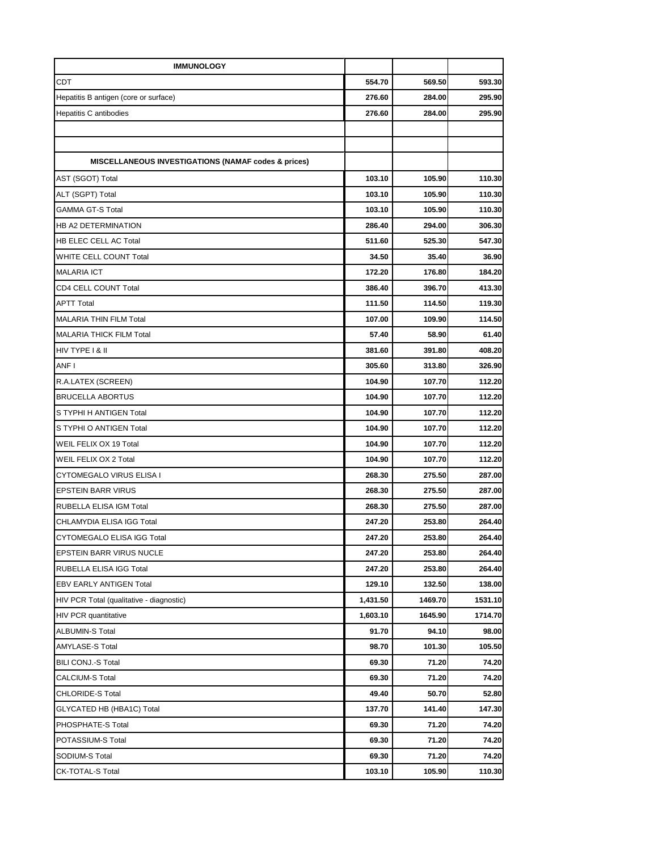| <b>IMMUNOLOGY</b>                                              |          |         |         |
|----------------------------------------------------------------|----------|---------|---------|
| <b>CDT</b>                                                     | 554.70   | 569.50  | 593.30  |
| Hepatitis B antigen (core or surface)                          | 276.60   | 284.00  | 295.90  |
| <b>Hepatitis C antibodies</b>                                  | 276.60   | 284.00  | 295.90  |
|                                                                |          |         |         |
|                                                                |          |         |         |
| <b>MISCELLANEOUS INVESTIGATIONS (NAMAF codes &amp; prices)</b> |          |         |         |
| AST (SGOT) Total                                               | 103.10   | 105.90  | 110.30  |
| ALT (SGPT) Total                                               | 103.10   | 105.90  | 110.30  |
| <b>GAMMA GT-S Total</b>                                        | 103.10   | 105.90  | 110.30  |
| HB A2 DETERMINATION                                            | 286.40   | 294.00  | 306.30  |
| <b>HB ELEC CELL AC Total</b>                                   | 511.60   | 525.30  | 547.30  |
| WHITE CELL COUNT Total                                         | 34.50    | 35.40   | 36.90   |
| <b>MALARIA ICT</b>                                             | 172.20   | 176.80  | 184.20  |
| CD4 CELL COUNT Total                                           | 386.40   | 396.70  | 413.30  |
| <b>APTT Total</b>                                              | 111.50   | 114.50  | 119.30  |
| <b>MALARIA THIN FILM Total</b>                                 | 107.00   | 109.90  | 114.50  |
| <b>MALARIA THICK FILM Total</b>                                | 57.40    | 58.90   | 61.40   |
| HIV TYPE I & II                                                | 381.60   | 391.80  | 408.20  |
| ANF I                                                          | 305.60   | 313.80  | 326.90  |
| R.A.LATEX (SCREEN)                                             | 104.90   | 107.70  | 112.20  |
| <b>BRUCELLA ABORTUS</b>                                        | 104.90   | 107.70  | 112.20  |
| S TYPHI H ANTIGEN Total                                        | 104.90   | 107.70  | 112.20  |
| S TYPHI O ANTIGEN Total                                        | 104.90   | 107.70  | 112.20  |
| WEIL FELIX OX 19 Total                                         | 104.90   | 107.70  | 112.20  |
| WEIL FELIX OX 2 Total                                          | 104.90   | 107.70  | 112.20  |
| <b>CYTOMEGALO VIRUS ELISA I</b>                                | 268.30   | 275.50  | 287.00  |
| <b>EPSTEIN BARR VIRUS</b>                                      | 268.30   | 275.50  | 287.00  |
| RUBELLA ELISA IGM Total                                        | 268.30   | 275.50  | 287.00  |
| CHLAMYDIA ELISA IGG Total                                      | 247.20   | 253.80  | 264.40  |
| <b>CYTOMEGALO ELISA IGG Total</b>                              | 247.20   | 253.80  | 264.40  |
| EPSTEIN BARR VIRUS NUCLE                                       | 247.20   | 253.80  | 264.40  |
| RUBELLA ELISA IGG Total                                        | 247.20   | 253.80  | 264.40  |
| EBV EARLY ANTIGEN Total                                        | 129.10   | 132.50  | 138.00  |
| HIV PCR Total (qualitative - diagnostic)                       | 1,431.50 | 1469.70 | 1531.10 |
| <b>HIV PCR quantitative</b>                                    | 1,603.10 | 1645.90 | 1714.70 |
| ALBUMIN-S Total                                                | 91.70    | 94.10   | 98.00   |
| AMYLASE-S Total                                                | 98.70    | 101.30  | 105.50  |
| BILI CONJ.-S Total                                             | 69.30    | 71.20   | 74.20   |
| CALCIUM-S Total                                                | 69.30    | 71.20   | 74.20   |
| <b>CHLORIDE-S Total</b>                                        | 49.40    | 50.70   | 52.80   |
| GLYCATED HB (HBA1C) Total                                      | 137.70   | 141.40  | 147.30  |
| PHOSPHATE-S Total                                              | 69.30    | 71.20   | 74.20   |
| POTASSIUM-S Total                                              | 69.30    | 71.20   | 74.20   |
| SODIUM-S Total                                                 | 69.30    | 71.20   | 74.20   |
| <b>CK-TOTAL-S Total</b>                                        | 103.10   | 105.90  | 110.30  |